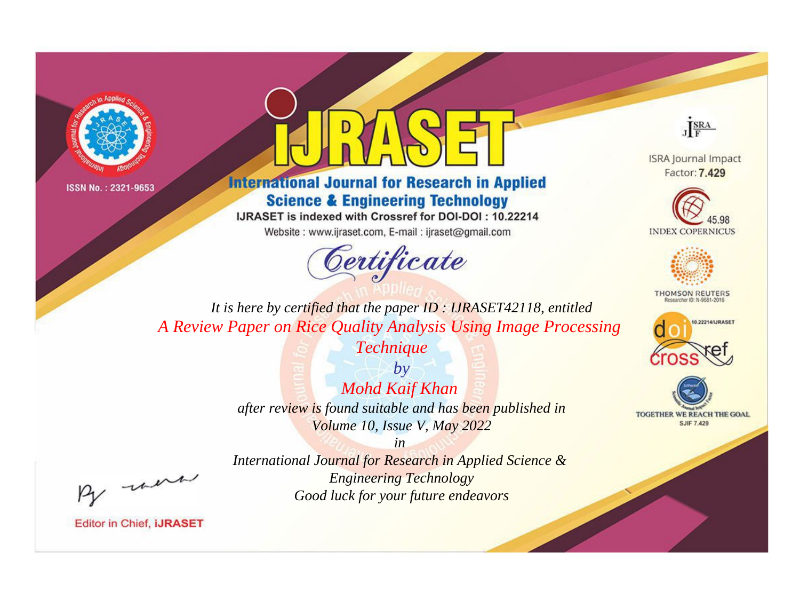



**International Journal for Research in Applied Science & Engineering Technology** 

IJRASET is indexed with Crossref for DOI-DOI: 10.22214

Website: www.ijraset.com, E-mail: ijraset@gmail.com



JERA

**ISRA Journal Impact** Factor: 7.429





**THOMSON REUTERS** 



TOGETHER WE REACH THE GOAL **SJIF 7.429** 

It is here by certified that the paper ID: IJRASET42118, entitled A Review Paper on Rice Quality Analysis Using Image Processing

Technique

 $by$ **Mohd Kaif Khan** after review is found suitable and has been published in Volume 10, Issue V, May 2022

were

International Journal for Research in Applied Science & **Engineering Technology** Good luck for your future endeavors

 $in$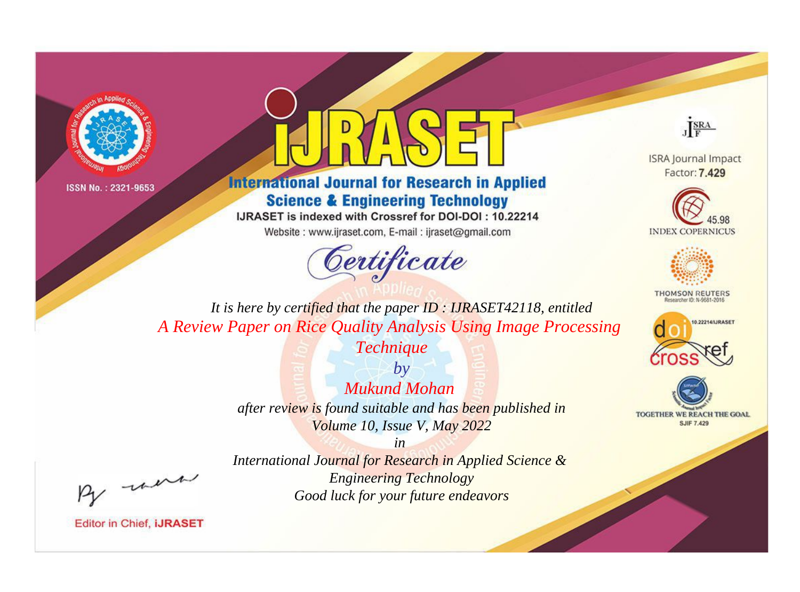



**International Journal for Research in Applied Science & Engineering Technology** 

IJRASET is indexed with Crossref for DOI-DOI: 10.22214

Website: www.ijraset.com, E-mail: ijraset@gmail.com



JERA

**ISRA Journal Impact** Factor: 7.429





**THOMSON REUTERS** 



TOGETHER WE REACH THE GOAL **SJIF 7.429** 

It is here by certified that the paper ID: IJRASET42118, entitled A Review Paper on Rice Quality Analysis Using Image Processing

Technique

 $b\nu$ **Mukund Mohan** after review is found suitable and has been published in Volume 10, Issue V, May 2022

were

International Journal for Research in Applied Science & **Engineering Technology** Good luck for your future endeavors

 $in$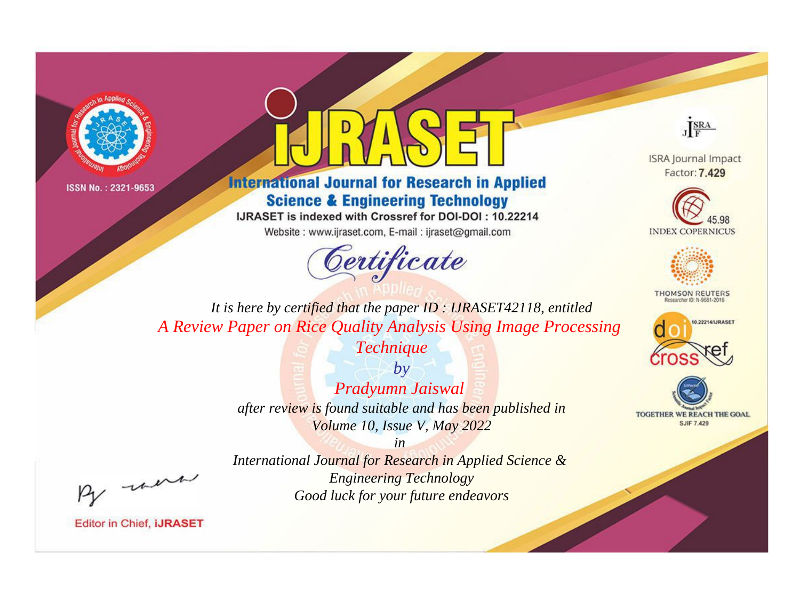



**International Journal for Research in Applied Science & Engineering Technology** 

IJRASET is indexed with Crossref for DOI-DOI: 10.22214

Website: www.ijraset.com, E-mail: ijraset@gmail.com



JERA

**ISRA Journal Impact** Factor: 7.429





**THOMSON REUTERS** 



TOGETHER WE REACH THE GOAL **SJIF 7.429** 

It is here by certified that the paper ID: IJRASET42118, entitled A Review Paper on Rice Quality Analysis Using Image Processing

Technique

 $by$ Pradyumn Jaiswal after review is found suitable and has been published in Volume 10, Issue V, May 2022

were

International Journal for Research in Applied Science & **Engineering Technology** Good luck for your future endeavors

 $in$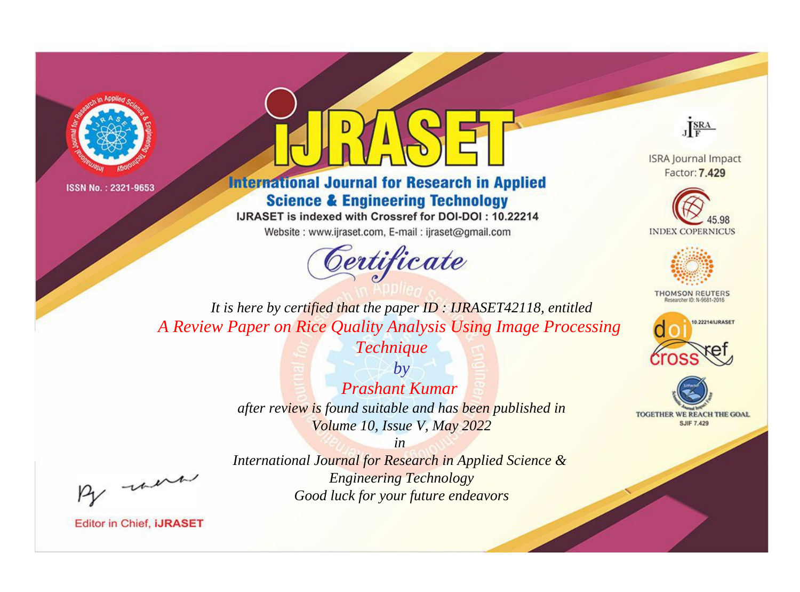



**International Journal for Research in Applied Science & Engineering Technology** 

IJRASET is indexed with Crossref for DOI-DOI: 10.22214

Website: www.ijraset.com, E-mail: ijraset@gmail.com



JERA

**ISRA Journal Impact** Factor: 7.429





**THOMSON REUTERS** 



TOGETHER WE REACH THE GOAL **SJIF 7.429** 

It is here by certified that the paper ID: IJRASET42118, entitled A Review Paper on Rice Quality Analysis Using Image Processing

Technique

 $b\nu$ **Prashant Kumar** after review is found suitable and has been published in Volume 10, Issue V, May 2022

-were

International Journal for Research in Applied Science & **Engineering Technology** Good luck for your future endeavors

 $in$